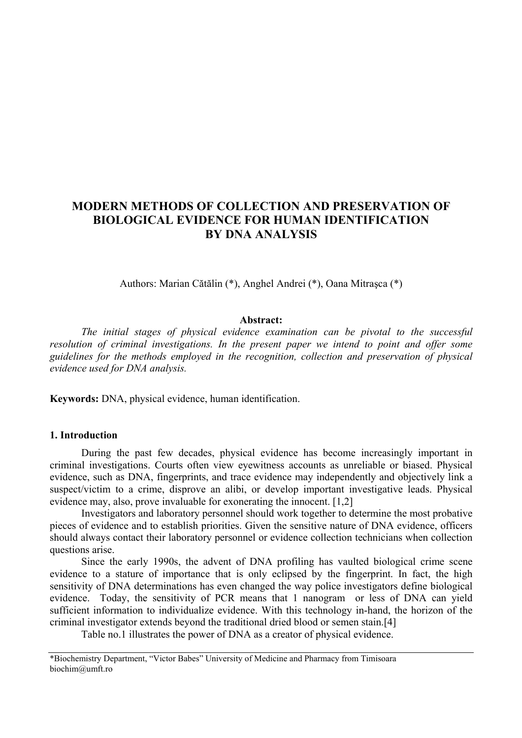# **MODERN METHODS OF COLLECTION AND PRESERVATION OF BIOLOGICAL EVIDENCE FOR HUMAN IDENTIFICATION BY DNA ANALYSIS**

Authors: Marian Cătălin (\*), Anghel Andrei (\*), Oana Mitraşca (\*)

#### **Abstract:**

*The initial stages of physical evidence examination can be pivotal to the successful resolution of criminal investigations. In the present paper we intend to point and offer some guidelines for the methods employed in the recognition, collection and preservation of physical evidence used for DNA analysis.* 

**Keywords:** DNA, physical evidence, human identification.

### **1. Introduction**

During the past few decades, physical evidence has become increasingly important in criminal investigations. Courts often view eyewitness accounts as unreliable or biased. Physical evidence, such as DNA, fingerprints, and trace evidence may independently and objectively link a suspect/victim to a crime, disprove an alibi, or develop important investigative leads. Physical evidence may, also, prove invaluable for exonerating the innocent. [1,2]

Investigators and laboratory personnel should work together to determine the most probative pieces of evidence and to establish priorities. Given the sensitive nature of DNA evidence, officers should always contact their laboratory personnel or evidence collection technicians when collection questions arise.

Since the early 1990s, the advent of DNA profiling has vaulted biological crime scene evidence to a stature of importance that is only eclipsed by the fingerprint. In fact, the high sensitivity of DNA determinations has even changed the way police investigators define biological evidence. Today, the sensitivity of PCR means that 1 nanogram or less of DNA can yield sufficient information to individualize evidence. With this technology in-hand, the horizon of the criminal investigator extends beyond the traditional dried blood or semen stain.[4]

Table no.1 illustrates the power of DNA as a creator of physical evidence.

<sup>\*</sup>Biochemistry Department, "Victor Babes" University of Medicine and Pharmacy from Timisoara biochim@umft.ro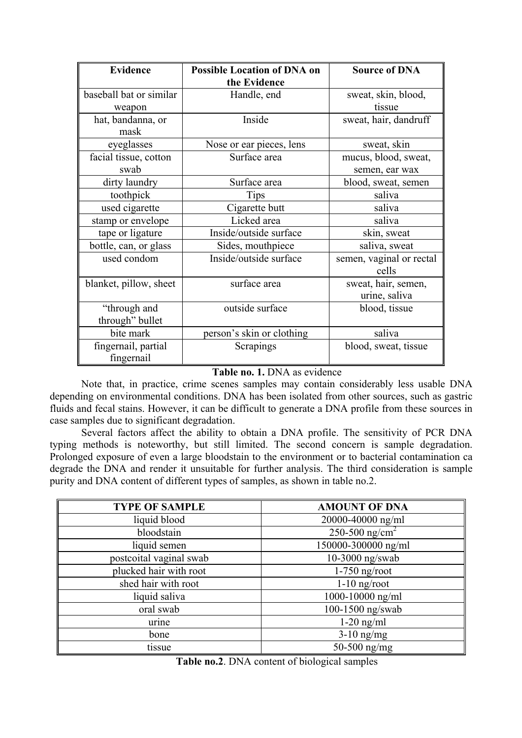| <b>Evidence</b>         | <b>Possible Location of DNA on</b> | <b>Source of DNA</b>     |
|-------------------------|------------------------------------|--------------------------|
|                         | the Evidence                       |                          |
| baseball bat or similar | Handle, end                        | sweat, skin, blood,      |
| weapon                  |                                    | tissue                   |
| hat, bandanna, or       | Inside                             | sweat, hair, dandruff    |
| mask                    |                                    |                          |
| eyeglasses              | Nose or ear pieces, lens           | sweat, skin              |
| facial tissue, cotton   | Surface area                       | mucus, blood, sweat,     |
| swab                    |                                    | semen, ear wax           |
| dirty laundry           | Surface area                       | blood, sweat, semen      |
| toothpick               | <b>Tips</b>                        | saliva                   |
| used cigarette          | Cigarette butt                     | saliva                   |
| stamp or envelope       | Licked area                        | saliva                   |
| tape or ligature        | Inside/outside surface             | skin, sweat              |
| bottle, can, or glass   | Sides, mouthpiece                  | saliva, sweat            |
| used condom             | Inside/outside surface             | semen, vaginal or rectal |
|                         |                                    | cells                    |
| blanket, pillow, sheet  | surface area                       | sweat, hair, semen,      |
|                         |                                    | urine, saliva            |
| "through and            | outside surface                    | blood, tissue            |
| through" bullet         |                                    |                          |
| bite mark               | person's skin or clothing          | saliva                   |
| fingernail, partial     | Scrapings                          | blood, sweat, tissue     |
| fingernail              |                                    |                          |

**Table no. 1.** DNA as evidence

Note that, in practice, crime scenes samples may contain considerably less usable DNA depending on environmental conditions. DNA has been isolated from other sources, such as gastric fluids and fecal stains. However, it can be difficult to generate a DNA profile from these sources in case samples due to significant degradation.

Several factors affect the ability to obtain a DNA profile. The sensitivity of PCR DNA typing methods is noteworthy, but still limited. The second concern is sample degradation. Prolonged exposure of even a large bloodstain to the environment or to bacterial contamination ca degrade the DNA and render it unsuitable for further analysis. The third consideration is sample purity and DNA content of different types of samples, as shown in table no.2.

| <b>TYPE OF SAMPLE</b>   | <b>AMOUNT OF DNA</b>       |
|-------------------------|----------------------------|
| liquid blood            | 20000-40000 ng/ml          |
| bloodstain              | 250-500 ng/cm <sup>2</sup> |
| liquid semen            | 150000-300000 ng/ml        |
| postcoital vaginal swab | 10-3000 ng/swab            |
| plucked hair with root  | $1-750$ ng/root            |
| shed hair with root     | $1-10$ ng/root             |
| liquid saliva           | 1000-10000 ng/ml           |
| oral swab               | 100-1500 ng/swab           |
| urine                   | $1-20$ ng/ml               |
| bone                    | $3-10$ ng/mg               |
| tissue                  | 50-500 $ng/mg$             |

**Table no.2**. DNA content of biological samples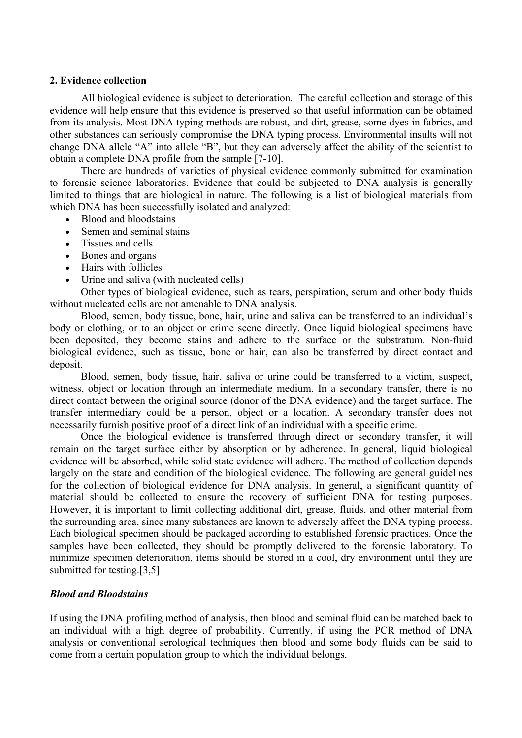# **2. Evidence collection**

 All biological evidence is subject to deterioration. The careful collection and storage of this evidence will help ensure that this evidence is preserved so that useful information can be obtained from its analysis. Most DNA typing methods are robust, and dirt, grease, some dyes in fabrics, and other substances can seriously compromise the DNA typing process. Environmental insults will not change DNA allele "A" into allele "B", but they can adversely affect the ability of the scientist to obtain a complete DNA profile from the sample [7-10].

There are hundreds of varieties of physical evidence commonly submitted for examination to forensic science laboratories. Evidence that could be subjected to DNA analysis is generally limited to things that are biological in nature. The following is a list of biological materials from which DNA has been successfully isolated and analyzed:

- Blood and bloodstains
- Semen and seminal stains
- Tissues and cells
- Bones and organs
- Hairs with follicles
- Urine and saliva (with nucleated cells)

Other types of biological evidence, such as tears, perspiration, serum and other body fluids without nucleated cells are not amenable to DNA analysis.

Blood, semen, body tissue, bone, hair, urine and saliva can be transferred to an individual's body or clothing, or to an object or crime scene directly. Once liquid biological specimens have been deposited, they become stains and adhere to the surface or the substratum. Non-fluid biological evidence, such as tissue, bone or hair, can also be transferred by direct contact and deposit.

Blood, semen, body tissue, hair, saliva or urine could be transferred to a victim, suspect, witness, object or location through an intermediate medium. In a secondary transfer, there is no direct contact between the original source (donor of the DNA evidence) and the target surface. The transfer intermediary could be a person, object or a location. A secondary transfer does not necessarily furnish positive proof of a direct link of an individual with a specific crime.

Once the biological evidence is transferred through direct or secondary transfer, it will remain on the target surface either by absorption or by adherence. In general, liquid biological evidence will be absorbed, while solid state evidence will adhere. The method of collection depends largely on the state and condition of the biological evidence. The following are general guidelines for the collection of biological evidence for DNA analysis. In general, a significant quantity of material should be collected to ensure the recovery of sufficient DNA for testing purposes. However, it is important to limit collecting additional dirt, grease, fluids, and other material from the surrounding area, since many substances are known to adversely affect the DNA typing process. Each biological specimen should be packaged according to established forensic practices. Once the samples have been collected, they should be promptly delivered to the forensic laboratory. To minimize specimen deterioration, items should be stored in a cool, dry environment until they are submitted for testing.[3,5]

# *Blood and Bloodstains*

If using the DNA profiling method of analysis, then blood and seminal fluid can be matched back to an individual with a high degree of probability. Currently, if using the PCR method of DNA analysis or conventional serological techniques then blood and some body fluids can be said to come from a certain population group to which the individual belongs.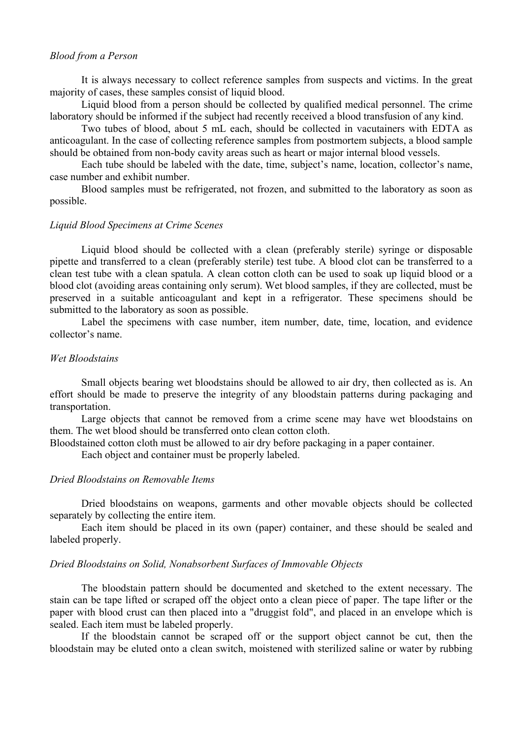### *Blood from a Person*

It is always necessary to collect reference samples from suspects and victims. In the great majority of cases, these samples consist of liquid blood.

Liquid blood from a person should be collected by qualified medical personnel. The crime laboratory should be informed if the subject had recently received a blood transfusion of any kind.

Two tubes of blood, about 5 mL each, should be collected in vacutainers with EDTA as anticoagulant. In the case of collecting reference samples from postmortem subjects, a blood sample should be obtained from non-body cavity areas such as heart or major internal blood vessels.

Each tube should be labeled with the date, time, subject's name, location, collector's name, case number and exhibit number.

Blood samples must be refrigerated, not frozen, and submitted to the laboratory as soon as possible.

### *Liquid Blood Specimens at Crime Scenes*

Liquid blood should be collected with a clean (preferably sterile) syringe or disposable pipette and transferred to a clean (preferably sterile) test tube. A blood clot can be transferred to a clean test tube with a clean spatula. A clean cotton cloth can be used to soak up liquid blood or a blood clot (avoiding areas containing only serum). Wet blood samples, if they are collected, must be preserved in a suitable anticoagulant and kept in a refrigerator. These specimens should be submitted to the laboratory as soon as possible.

Label the specimens with case number, item number, date, time, location, and evidence collector's name.

### *Wet Bloodstains*

Small objects bearing wet bloodstains should be allowed to air dry, then collected as is. An effort should be made to preserve the integrity of any bloodstain patterns during packaging and transportation.

Large objects that cannot be removed from a crime scene may have wet bloodstains on them. The wet blood should be transferred onto clean cotton cloth.

Bloodstained cotton cloth must be allowed to air dry before packaging in a paper container.

Each object and container must be properly labeled.

# *Dried Bloodstains on Removable Items*

Dried bloodstains on weapons, garments and other movable objects should be collected separately by collecting the entire item.

Each item should be placed in its own (paper) container, and these should be sealed and labeled properly.

#### *Dried Bloodstains on Solid, Nonabsorbent Surfaces of Immovable Objects*

The bloodstain pattern should be documented and sketched to the extent necessary. The stain can be tape lifted or scraped off the object onto a clean piece of paper. The tape lifter or the paper with blood crust can then placed into a "druggist fold", and placed in an envelope which is sealed. Each item must be labeled properly.

If the bloodstain cannot be scraped off or the support object cannot be cut, then the bloodstain may be eluted onto a clean switch, moistened with sterilized saline or water by rubbing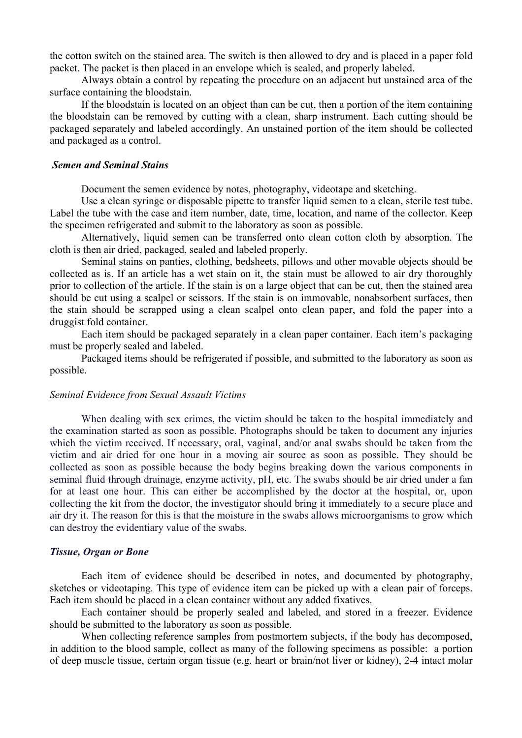the cotton switch on the stained area. The switch is then allowed to dry and is placed in a paper fold packet. The packet is then placed in an envelope which is sealed, and properly labeled.

Always obtain a control by repeating the procedure on an adjacent but unstained area of the surface containing the bloodstain.

If the bloodstain is located on an object than can be cut, then a portion of the item containing the bloodstain can be removed by cutting with a clean, sharp instrument. Each cutting should be packaged separately and labeled accordingly. An unstained portion of the item should be collected and packaged as a control.

#### *Semen and Seminal Stains*

Document the semen evidence by notes, photography, videotape and sketching.

Use a clean syringe or disposable pipette to transfer liquid semen to a clean, sterile test tube. Label the tube with the case and item number, date, time, location, and name of the collector. Keep the specimen refrigerated and submit to the laboratory as soon as possible.

Alternatively, liquid semen can be transferred onto clean cotton cloth by absorption. The cloth is then air dried, packaged, sealed and labeled properly.

Seminal stains on panties, clothing, bedsheets, pillows and other movable objects should be collected as is. If an article has a wet stain on it, the stain must be allowed to air dry thoroughly prior to collection of the article. If the stain is on a large object that can be cut, then the stained area should be cut using a scalpel or scissors. If the stain is on immovable, nonabsorbent surfaces, then the stain should be scrapped using a clean scalpel onto clean paper, and fold the paper into a druggist fold container.

Each item should be packaged separately in a clean paper container. Each item's packaging must be properly sealed and labeled.

Packaged items should be refrigerated if possible, and submitted to the laboratory as soon as possible.

#### *Seminal Evidence from Sexual Assault Victims*

When dealing with sex crimes, the victim should be taken to the hospital immediately and the examination started as soon as possible. Photographs should be taken to document any injuries which the victim received. If necessary, oral, vaginal, and/or anal swabs should be taken from the victim and air dried for one hour in a moving air source as soon as possible. They should be collected as soon as possible because the body begins breaking down the various components in seminal fluid through drainage, enzyme activity, pH, etc. The swabs should be air dried under a fan for at least one hour. This can either be accomplished by the doctor at the hospital, or, upon collecting the kit from the doctor, the investigator should bring it immediately to a secure place and air dry it. The reason for this is that the moisture in the swabs allows microorganisms to grow which can destroy the evidentiary value of the swabs.

### *Tissue, Organ or Bone*

Each item of evidence should be described in notes, and documented by photography, sketches or videotaping. This type of evidence item can be picked up with a clean pair of forceps. Each item should be placed in a clean container without any added fixatives.

Each container should be properly sealed and labeled, and stored in a freezer. Evidence should be submitted to the laboratory as soon as possible.

 When collecting reference samples from postmortem subjects, if the body has decomposed, in addition to the blood sample, collect as many of the following specimens as possible: a portion of deep muscle tissue, certain organ tissue (e.g. heart or brain/not liver or kidney), 2-4 intact molar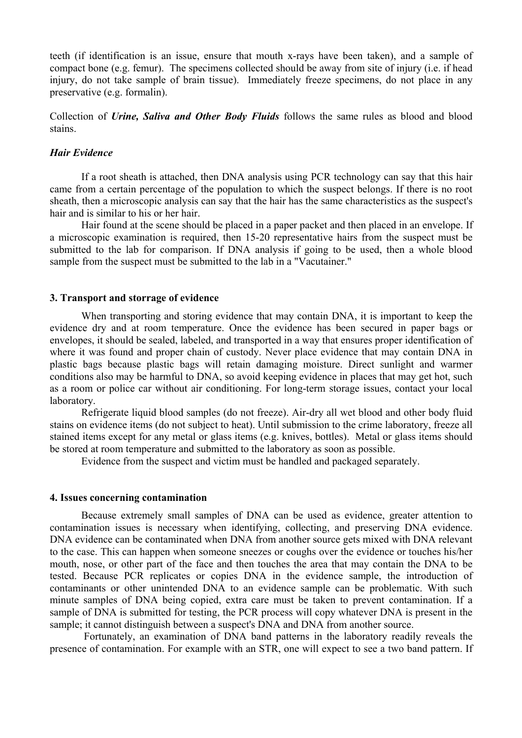teeth (if identification is an issue, ensure that mouth x-rays have been taken), and a sample of compact bone (e.g. femur). The specimens collected should be away from site of injury (i.e. if head injury, do not take sample of brain tissue). Immediately freeze specimens, do not place in any preservative (e.g. formalin).

Collection of *Urine, Saliva and Other Body Fluids* follows the same rules as blood and blood stains.

# *Hair Evidence*

If a root sheath is attached, then DNA analysis using PCR technology can say that this hair came from a certain percentage of the population to which the suspect belongs. If there is no root sheath, then a microscopic analysis can say that the hair has the same characteristics as the suspect's hair and is similar to his or her hair.

Hair found at the scene should be placed in a paper packet and then placed in an envelope. If a microscopic examination is required, then 15-20 representative hairs from the suspect must be submitted to the lab for comparison. If DNA analysis if going to be used, then a whole blood sample from the suspect must be submitted to the lab in a "Vacutainer."

#### **3. Transport and storrage of evidence**

When transporting and storing evidence that may contain DNA, it is important to keep the evidence dry and at room temperature. Once the evidence has been secured in paper bags or envelopes, it should be sealed, labeled, and transported in a way that ensures proper identification of where it was found and proper chain of custody. Never place evidence that may contain DNA in plastic bags because plastic bags will retain damaging moisture. Direct sunlight and warmer conditions also may be harmful to DNA, so avoid keeping evidence in places that may get hot, such as a room or police car without air conditioning. For long-term storage issues, contact your local laboratory.

 Refrigerate liquid blood samples (do not freeze). Air-dry all wet blood and other body fluid stains on evidence items (do not subject to heat). Until submission to the crime laboratory, freeze all stained items except for any metal or glass items (e.g. knives, bottles). Metal or glass items should be stored at room temperature and submitted to the laboratory as soon as possible.

Evidence from the suspect and victim must be handled and packaged separately.

#### **4. Issues concerning contamination**

Because extremely small samples of DNA can be used as evidence, greater attention to contamination issues is necessary when identifying, collecting, and preserving DNA evidence. DNA evidence can be contaminated when DNA from another source gets mixed with DNA relevant to the case. This can happen when someone sneezes or coughs over the evidence or touches his/her mouth, nose, or other part of the face and then touches the area that may contain the DNA to be tested. Because PCR replicates or copies DNA in the evidence sample, the introduction of contaminants or other unintended DNA to an evidence sample can be problematic. With such minute samples of DNA being copied, extra care must be taken to prevent contamination. If a sample of DNA is submitted for testing, the PCR process will copy whatever DNA is present in the sample; it cannot distinguish between a suspect's DNA and DNA from another source.

 Fortunately, an examination of DNA band patterns in the laboratory readily reveals the presence of contamination. For example with an STR, one will expect to see a two band pattern. If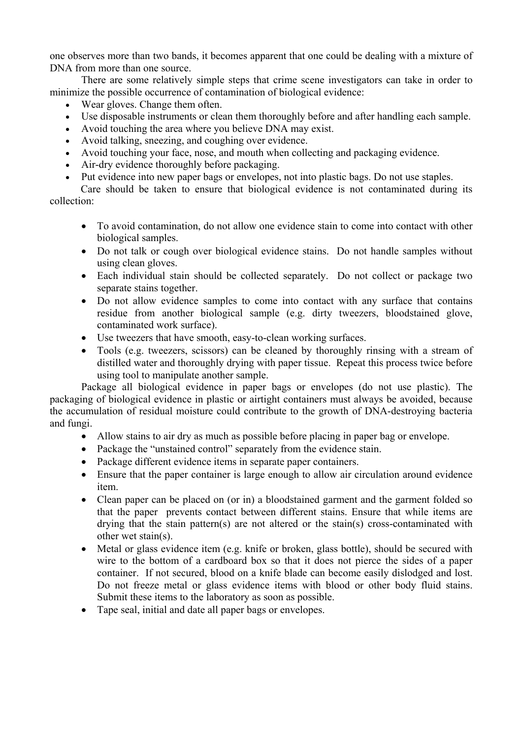one observes more than two bands, it becomes apparent that one could be dealing with a mixture of DNA from more than one source.

There are some relatively simple steps that crime scene investigators can take in order to minimize the possible occurrence of contamination of biological evidence:

- Wear gloves. Change them often.
- Use disposable instruments or clean them thoroughly before and after handling each sample.
- Avoid touching the area where you believe DNA may exist.
- Avoid talking, sneezing, and coughing over evidence.
- Avoid touching your face, nose, and mouth when collecting and packaging evidence.
- Air-dry evidence thoroughly before packaging.
- Put evidence into new paper bags or envelopes, not into plastic bags. Do not use staples.

Care should be taken to ensure that biological evidence is not contaminated during its collection:

- To avoid contamination, do not allow one evidence stain to come into contact with other biological samples.
- Do not talk or cough over biological evidence stains. Do not handle samples without using clean gloves.
- Each individual stain should be collected separately. Do not collect or package two separate stains together.
- Do not allow evidence samples to come into contact with any surface that contains residue from another biological sample (e.g. dirty tweezers, bloodstained glove, contaminated work surface).
- Use tweezers that have smooth, easy-to-clean working surfaces.
- Tools (e.g. tweezers, scissors) can be cleaned by thoroughly rinsing with a stream of distilled water and thoroughly drying with paper tissue. Repeat this process twice before using tool to manipulate another sample.

Package all biological evidence in paper bags or envelopes (do not use plastic). The packaging of biological evidence in plastic or airtight containers must always be avoided, because the accumulation of residual moisture could contribute to the growth of DNA-destroying bacteria and fungi.

- Allow stains to air dry as much as possible before placing in paper bag or envelope.
- Package the "unstained control" separately from the evidence stain.
- Package different evidence items in separate paper containers.
- Ensure that the paper container is large enough to allow air circulation around evidence item.
- Clean paper can be placed on (or in) a bloodstained garment and the garment folded so that the paper prevents contact between different stains. Ensure that while items are drying that the stain pattern(s) are not altered or the stain(s) cross-contaminated with other wet stain(s).
- Metal or glass evidence item (e.g. knife or broken, glass bottle), should be secured with wire to the bottom of a cardboard box so that it does not pierce the sides of a paper container. If not secured, blood on a knife blade can become easily dislodged and lost. Do not freeze metal or glass evidence items with blood or other body fluid stains. Submit these items to the laboratory as soon as possible.
- Tape seal, initial and date all paper bags or envelopes.